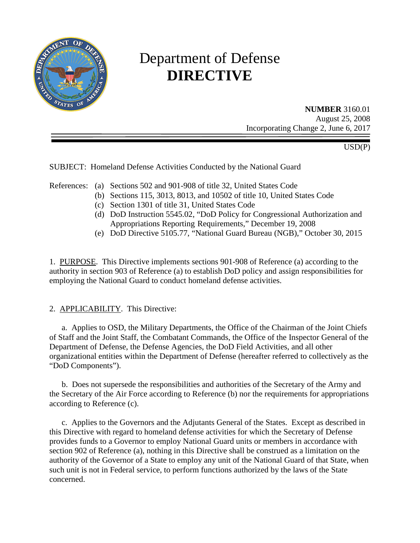

# Department of Defense **DIRECTIVE**

**NUMBER** 3160.01 August 25, 2008 Incorporating Change 2, June 6, 2017

USD(P)

SUBJECT: Homeland Defense Activities Conducted by the National Guard

References: (a) Sections 502 and 901-908 of title 32, United States Code

- (b) Sections 115, 3013, 8013, and 10502 of title 10, United States Code
- (c) Section 1301 of title 31, United States Code
- (d) DoD Instruction 5545.02, "DoD Policy for Congressional Authorization and Appropriations Reporting Requirements," December 19, 2008
- (e) DoD Directive 5105.77, "National Guard Bureau (NGB)," October 30, 2015

1. PURPOSE. This Directive implements sections 901-908 of Reference (a) according to the authority in section 903 of Reference (a) to establish DoD policy and assign responsibilities for employing the National Guard to conduct homeland defense activities.

# 2. APPLICABILITY. This Directive:

a. Applies to OSD, the Military Departments, the Office of the Chairman of the Joint Chiefs of Staff and the Joint Staff, the Combatant Commands, the Office of the Inspector General of the Department of Defense, the Defense Agencies, the DoD Field Activities, and all other organizational entities within the Department of Defense (hereafter referred to collectively as the "DoD Components").

b. Does not supersede the responsibilities and authorities of the Secretary of the Army and the Secretary of the Air Force according to Reference (b) nor the requirements for appropriations according to Reference (c).

c. Applies to the Governors and the Adjutants General of the States. Except as described in this Directive with regard to homeland defense activities for which the Secretary of Defense provides funds to a Governor to employ National Guard units or members in accordance with section 902 of Reference (a), nothing in this Directive shall be construed as a limitation on the authority of the Governor of a State to employ any unit of the National Guard of that State, when such unit is not in Federal service, to perform functions authorized by the laws of the State concerned.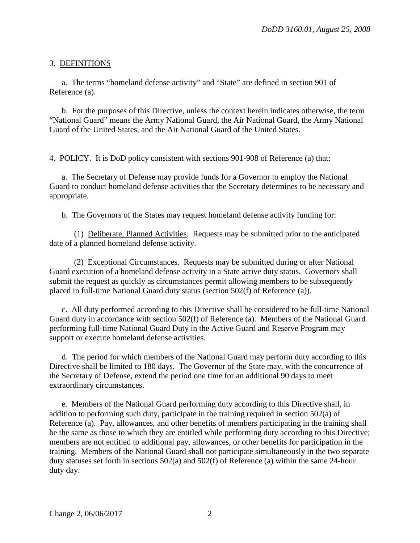### 3. DEFINITIONS

a. The terms "homeland defense activity" and "State" are defined in section 901 of Reference (a).

b. For the purposes of this Directive, unless the context herein indicates otherwise, the term "National Guard" means the Army National Guard, the Air National Guard, the Army National Guard of the United States, and the Air National Guard of the United States.

4. POLICY. It is DoD policy consistent with sections 901-908 of Reference (a) that:

a. The Secretary of Defense may provide funds for a Governor to employ the National Guard to conduct homeland defense activities that the Secretary determines to be necessary and appropriate.

b. The Governors of the States may request homeland defense activity funding for:

(1) Deliberate, Planned Activities. Requests may be submitted prior to the anticipated date of a planned homeland defense activity.

(2) Exceptional Circumstances. Requests may be submitted during or after National Guard execution of a homeland defense activity in a State active duty status. Governors shall submit the request as quickly as circumstances permit allowing members to be subsequently placed in full-time National Guard duty status (section 502(f) of Reference (a)).

c. All duty performed according to this Directive shall be considered to be full-time National Guard duty in accordance with section 502(f) of Reference (a). Members of the National Guard performing full-time National Guard Duty in the Active Guard and Reserve Program may support or execute homeland defense activities.

d. The period for which members of the National Guard may perform duty according to this Directive shall be limited to 180 days. The Governor of the State may, with the concurrence of the Secretary of Defense, extend the period one time for an additional 90 days to meet extraordinary circumstances.

e. Members of the National Guard performing duty according to this Directive shall, in addition to performing such duty, participate in the training required in section 502(a) of Reference (a). Pay, allowances, and other benefits of members participating in the training shall be the same as those to which they are entitled while performing duty according to this Directive; members are not entitled to additional pay, allowances, or other benefits for participation in the training. Members of the National Guard shall not participate simultaneously in the two separate duty statuses set forth in sections 502(a) and 502(f) of Reference (a) within the same 24-hour duty day.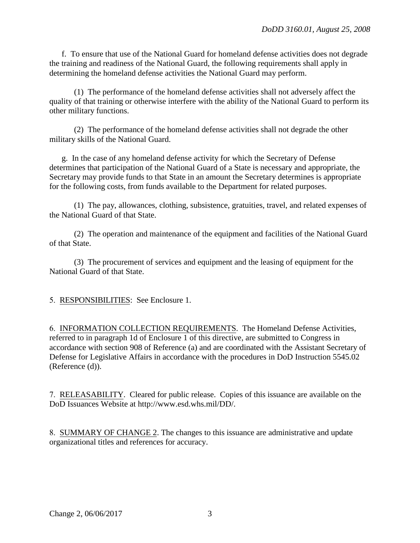f. To ensure that use of the National Guard for homeland defense activities does not degrade the training and readiness of the National Guard, the following requirements shall apply in determining the homeland defense activities the National Guard may perform.

(1) The performance of the homeland defense activities shall not adversely affect the quality of that training or otherwise interfere with the ability of the National Guard to perform its other military functions.

(2) The performance of the homeland defense activities shall not degrade the other military skills of the National Guard.

g. In the case of any homeland defense activity for which the Secretary of Defense determines that participation of the National Guard of a State is necessary and appropriate, the Secretary may provide funds to that State in an amount the Secretary determines is appropriate for the following costs, from funds available to the Department for related purposes.

(1) The pay, allowances, clothing, subsistence, gratuities, travel, and related expenses of the National Guard of that State.

(2) The operation and maintenance of the equipment and facilities of the National Guard of that State.

(3) The procurement of services and equipment and the leasing of equipment for the National Guard of that State.

5. RESPONSIBILITIES: See Enclosure 1.

6. INFORMATION COLLECTION REQUIREMENTS. The Homeland Defense Activities, referred to in paragraph 1d of Enclosure 1 of this directive, are submitted to Congress in accordance with section 908 of Reference (a) and are coordinated with the Assistant Secretary of Defense for Legislative Affairs in accordance with the procedures in DoD Instruction 5545.02 (Reference (d)).

7. RELEASABILITY. Cleared for public release.Copies of this issuance are available on the DoD Issuances Website at http://www.esd.whs.mil/DD/.

8. SUMMARY OF CHANGE 2. The changes to this issuance are administrative and update organizational titles and references for accuracy.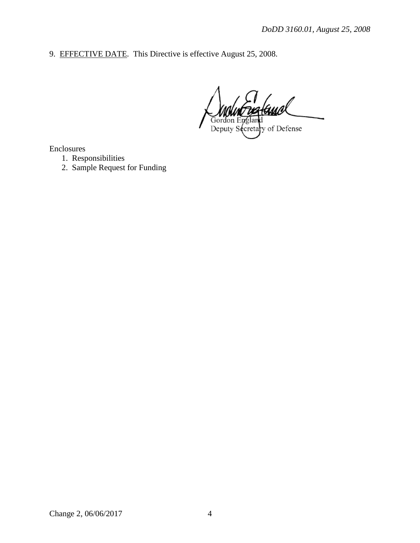9. EFFECTIVE DATE. This Directive is effective August 25, 2008.

Gordon Deputy Secretary of Defense

Enclosures

- 1. Responsibilities
- 2. Sample Request for Funding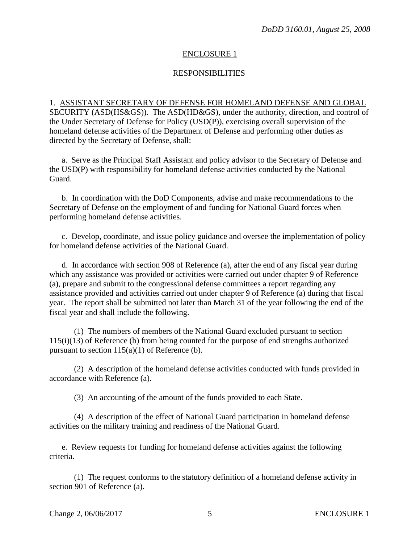#### ENCLOSURE 1

# RESPONSIBILITIES

1. ASSISTANT SECRETARY OF DEFENSE FOR HOMELAND DEFENSE AND GLOBAL SECURITY (ASD(HS&GS))*.* The ASD(HD&GS), under the authority, direction, and control of the Under Secretary of Defense for Policy (USD(P)), exercising overall supervision of the homeland defense activities of the Department of Defense and performing other duties as directed by the Secretary of Defense, shall:

a. Serve as the Principal Staff Assistant and policy advisor to the Secretary of Defense and the USD(P) with responsibility for homeland defense activities conducted by the National Guard.

 b. In coordination with the DoD Components, advise and make recommendations to the Secretary of Defense on the employment of and funding for National Guard forces when performing homeland defense activities.

c. Develop, coordinate, and issue policy guidance and oversee the implementation of policy for homeland defense activities of the National Guard.

d. In accordance with section 908 of Reference (a), after the end of any fiscal year during which any assistance was provided or activities were carried out under chapter 9 of Reference (a), prepare and submit to the congressional defense committees a report regarding any assistance provided and activities carried out under chapter 9 of Reference (a) during that fiscal year. The report shall be submitted not later than March 31 of the year following the end of the fiscal year and shall include the following.

 (1) The numbers of members of the National Guard excluded pursuant to section 115(i)(13) of Reference (b) from being counted for the purpose of end strengths authorized pursuant to section  $115(a)(1)$  of Reference (b).

 (2) A description of the homeland defense activities conducted with funds provided in accordance with Reference (a).

(3) An accounting of the amount of the funds provided to each State.

 (4) A description of the effect of National Guard participation in homeland defense activities on the military training and readiness of the National Guard.

 e. Review requests for funding for homeland defense activities against the following criteria.

 (1) The request conforms to the statutory definition of a homeland defense activity in section 901 of Reference (a).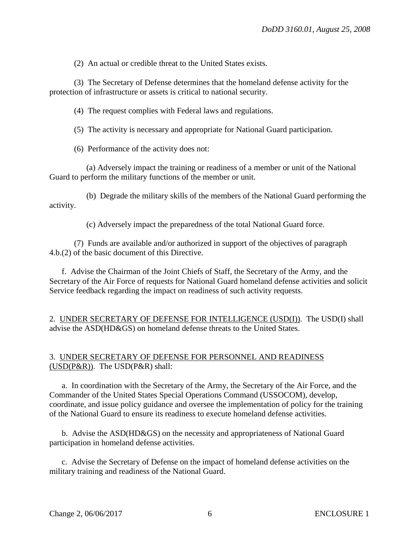(2) An actual or credible threat to the United States exists.

 (3) The Secretary of Defense determines that the homeland defense activity for the protection of infrastructure or assets is critical to national security.

(4) The request complies with Federal laws and regulations.

(5) The activity is necessary and appropriate for National Guard participation.

(6) Performance of the activity does not:

 (a) Adversely impact the training or readiness of a member or unit of the National Guard to perform the military functions of the member or unit.

 (b) Degrade the military skills of the members of the National Guard performing the activity.

(c) Adversely impact the preparedness of the total National Guard force.

 (7) Funds are available and/or authorized in support of the objectives of paragraph 4.b.(2) of the basic document of this Directive.

 f. Advise the Chairman of the Joint Chiefs of Staff, the Secretary of the Army, and the Secretary of the Air Force of requests for National Guard homeland defense activities and solicit Service feedback regarding the impact on readiness of such activity requests.

2. UNDER SECRETARY OF DEFENSE FOR INTELLIGENCE (USD(I)). The USD(I) shall advise the ASD(HD&GS) on homeland defense threats to the United States.

# 3. UNDER SECRETARY OF DEFENSE FOR PERSONNEL AND READINESS (USD(P&R)). The USD(P&R) shall:

 a. In coordination with the Secretary of the Army, the Secretary of the Air Force, and the Commander of the United States Special Operations Command (USSOCOM), develop, coordinate, and issue policy guidance and oversee the implementation of policy for the training of the National Guard to ensure its readiness to execute homeland defense activities.

 b. Advise the ASD(HD&GS) on the necessity and appropriateness of National Guard participation in homeland defense activities.

c. Advise the Secretary of Defense on the impact of homeland defense activities on the military training and readiness of the National Guard.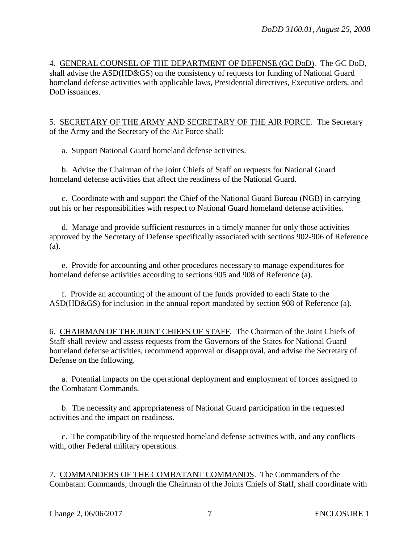4. GENERAL COUNSEL OF THE DEPARTMENT OF DEFENSE (GC DoD). The GC DoD, shall advise the ASD(HD&GS) on the consistency of requests for funding of National Guard homeland defense activities with applicable laws, Presidential directives, Executive orders, and DoD issuances.

5. SECRETARY OF THE ARMY AND SECRETARY OF THE AIR FORCE. The Secretary of the Army and the Secretary of the Air Force shall:

a. Support National Guard homeland defense activities.

b. Advise the Chairman of the Joint Chiefs of Staff on requests for National Guard homeland defense activities that affect the readiness of the National Guard.

c. Coordinate with and support the Chief of the National Guard Bureau (NGB) in carrying out his or her responsibilities with respect to National Guard homeland defense activities.

d. Manage and provide sufficient resources in a timely manner for only those activities approved by the Secretary of Defense specifically associated with sections 902-906 of Reference (a).

e. Provide for accounting and other procedures necessary to manage expenditures for homeland defense activities according to sections 905 and 908 of Reference (a).

f. Provide an accounting of the amount of the funds provided to each State to the ASD(HD&GS) for inclusion in the annual report mandated by section 908 of Reference (a).

6. CHAIRMAN OF THE JOINT CHIEFS OF STAFF. The Chairman of the Joint Chiefs of Staff shall review and assess requests from the Governors of the States for National Guard homeland defense activities, recommend approval or disapproval, and advise the Secretary of Defense on the following.

a. Potential impacts on the operational deployment and employment of forces assigned to the Combatant Commands.

b. The necessity and appropriateness of National Guard participation in the requested activities and the impact on readiness.

c. The compatibility of the requested homeland defense activities with, and any conflicts with, other Federal military operations.

7. COMMANDERS OF THE COMBATANT COMMANDS. The Commanders of the Combatant Commands, through the Chairman of the Joints Chiefs of Staff, shall coordinate with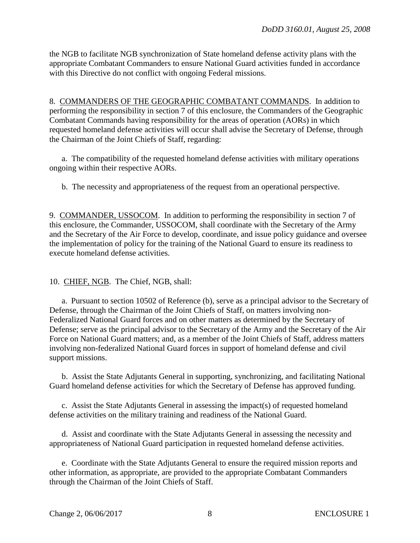the NGB to facilitate NGB synchronization of State homeland defense activity plans with the appropriate Combatant Commanders to ensure National Guard activities funded in accordance with this Directive do not conflict with ongoing Federal missions.

8. COMMANDERS OF THE GEOGRAPHIC COMBATANT COMMANDS. In addition to performing the responsibility in section 7 of this enclosure, the Commanders of the Geographic Combatant Commands having responsibility for the areas of operation (AORs) in which requested homeland defense activities will occur shall advise the Secretary of Defense, through the Chairman of the Joint Chiefs of Staff, regarding:

a. The compatibility of the requested homeland defense activities with military operations ongoing within their respective AORs.

b. The necessity and appropriateness of the request from an operational perspective.

9. COMMANDER, USSOCOM. In addition to performing the responsibility in section 7 of this enclosure, the Commander, USSOCOM, shall coordinate with the Secretary of the Army and the Secretary of the Air Force to develop, coordinate, and issue policy guidance and oversee the implementation of policy for the training of the National Guard to ensure its readiness to execute homeland defense activities.

10. CHIEF, NGB. The Chief, NGB, shall:

a. Pursuant to section 10502 of Reference (b), serve as a principal advisor to the Secretary of Defense, through the Chairman of the Joint Chiefs of Staff, on matters involving non-Federalized National Guard forces and on other matters as determined by the Secretary of Defense; serve as the principal advisor to the Secretary of the Army and the Secretary of the Air Force on National Guard matters; and, as a member of the Joint Chiefs of Staff, address matters involving non-federalized National Guard forces in support of homeland defense and civil support missions.

b. Assist the State Adjutants General in supporting, synchronizing, and facilitating National Guard homeland defense activities for which the Secretary of Defense has approved funding.

c. Assist the State Adjutants General in assessing the impact(s) of requested homeland defense activities on the military training and readiness of the National Guard.

d. Assist and coordinate with the State Adjutants General in assessing the necessity and appropriateness of National Guard participation in requested homeland defense activities.

e. Coordinate with the State Adjutants General to ensure the required mission reports and other information, as appropriate, are provided to the appropriate Combatant Commanders through the Chairman of the Joint Chiefs of Staff.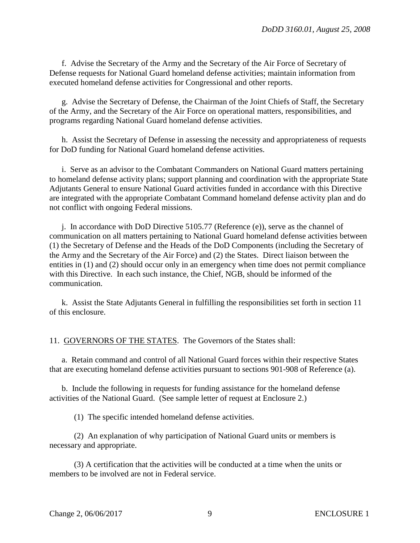f. Advise the Secretary of the Army and the Secretary of the Air Force of Secretary of Defense requests for National Guard homeland defense activities; maintain information from executed homeland defense activities for Congressional and other reports.

g. Advise the Secretary of Defense, the Chairman of the Joint Chiefs of Staff, the Secretary of the Army, and the Secretary of the Air Force on operational matters, responsibilities, and programs regarding National Guard homeland defense activities.

h. Assist the Secretary of Defense in assessing the necessity and appropriateness of requests for DoD funding for National Guard homeland defense activities.

i. Serve as an advisor to the Combatant Commanders on National Guard matters pertaining to homeland defense activity plans; support planning and coordination with the appropriate State Adjutants General to ensure National Guard activities funded in accordance with this Directive are integrated with the appropriate Combatant Command homeland defense activity plan and do not conflict with ongoing Federal missions.

j. In accordance with DoD Directive 5105.77 (Reference (e)), serve as the channel of communication on all matters pertaining to National Guard homeland defense activities between (1) the Secretary of Defense and the Heads of the DoD Components (including the Secretary of the Army and the Secretary of the Air Force) and (2) the States. Direct liaison between the entities in (1) and (2) should occur only in an emergency when time does not permit compliance with this Directive. In each such instance, the Chief, NGB, should be informed of the communication.

k. Assist the State Adjutants General in fulfilling the responsibilities set forth in section 11 of this enclosure.

11. GOVERNORS OF THE STATES. The Governors of the States shall:

a. Retain command and control of all National Guard forces within their respective States that are executing homeland defense activities pursuant to sections 901-908 of Reference (a).

b. Include the following in requests for funding assistance for the homeland defense activities of the National Guard. (See sample letter of request at Enclosure 2.)

(1) The specific intended homeland defense activities.

(2) An explanation of why participation of National Guard units or members is necessary and appropriate.

(3) A certification that the activities will be conducted at a time when the units or members to be involved are not in Federal service.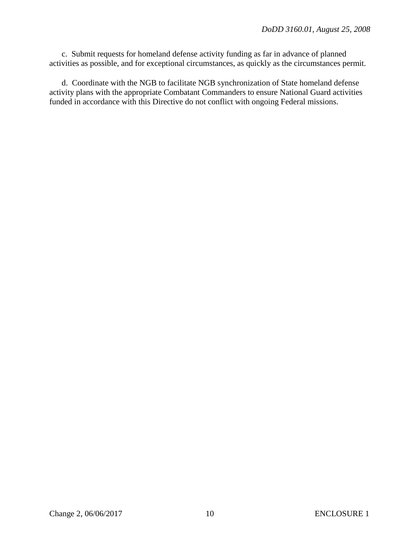c. Submit requests for homeland defense activity funding as far in advance of planned activities as possible, and for exceptional circumstances, as quickly as the circumstances permit.

d. Coordinate with the NGB to facilitate NGB synchronization of State homeland defense activity plans with the appropriate Combatant Commanders to ensure National Guard activities funded in accordance with this Directive do not conflict with ongoing Federal missions.